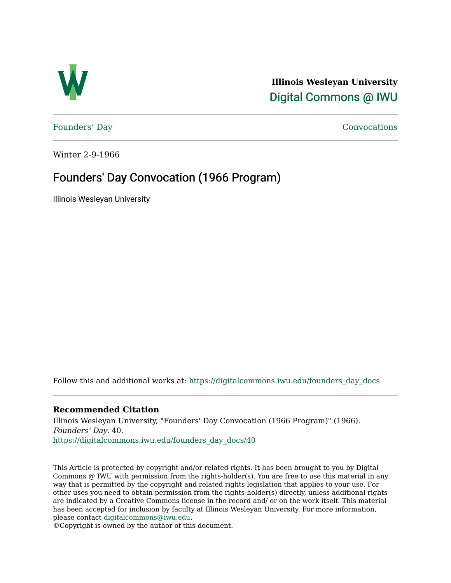

**Illinois Wesleyan University**  [Digital Commons @ IWU](https://digitalcommons.iwu.edu/) 

[Founders' Day](https://digitalcommons.iwu.edu/founders_day_docs) [Convocations](https://digitalcommons.iwu.edu/convocations_docs) 

Winter 2-9-1966

## Founders' Day Convocation (1966 Program)

Illinois Wesleyan University

Follow this and additional works at: [https://digitalcommons.iwu.edu/founders\\_day\\_docs](https://digitalcommons.iwu.edu/founders_day_docs?utm_source=digitalcommons.iwu.edu%2Ffounders_day_docs%2F40&utm_medium=PDF&utm_campaign=PDFCoverPages) 

## **Recommended Citation**

Illinois Wesleyan University, "Founders' Day Convocation (1966 Program)" (1966). Founders' Day. 40. [https://digitalcommons.iwu.edu/founders\\_day\\_docs/40](https://digitalcommons.iwu.edu/founders_day_docs/40?utm_source=digitalcommons.iwu.edu%2Ffounders_day_docs%2F40&utm_medium=PDF&utm_campaign=PDFCoverPages)

This Article is protected by copyright and/or related rights. It has been brought to you by Digital Commons @ IWU with permission from the rights-holder(s). You are free to use this material in any way that is permitted by the copyright and related rights legislation that applies to your use. For other uses you need to obtain permission from the rights-holder(s) directly, unless additional rights are indicated by a Creative Commons license in the record and/ or on the work itself. This material has been accepted for inclusion by faculty at Illinois Wesleyan University. For more information, please contact [digitalcommons@iwu.edu.](mailto:digitalcommons@iwu.edu)

©Copyright is owned by the author of this document.